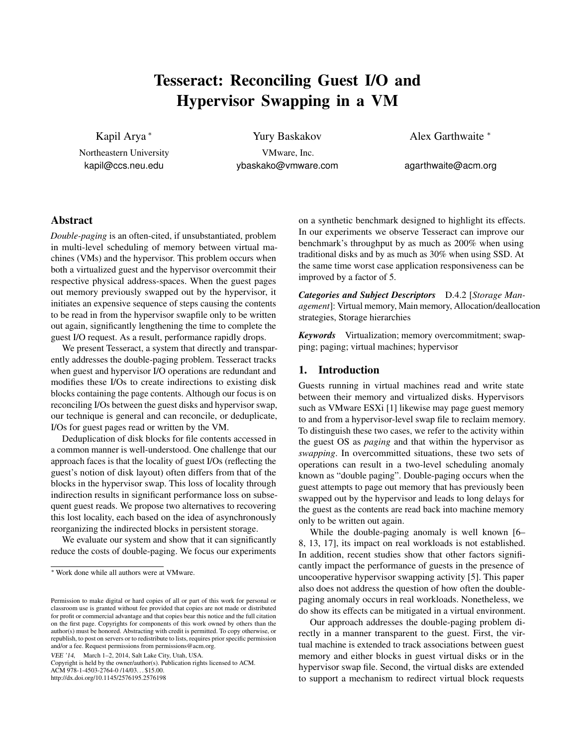# Tesseract: Reconciling Guest I/O and Hypervisor Swapping in a VM

Kapil Arya <sup>∗</sup>

Northeastern University kapil@ccs.neu.edu

Yury Baskakov

VMware, Inc. ybaskako@vmware.com Alex Garthwaite <sup>∗</sup>

agarthwaite@acm.org

# Abstract

*Double-paging* is an often-cited, if unsubstantiated, problem in multi-level scheduling of memory between virtual machines (VMs) and the hypervisor. This problem occurs when both a virtualized guest and the hypervisor overcommit their respective physical address-spaces. When the guest pages out memory previously swapped out by the hypervisor, it initiates an expensive sequence of steps causing the contents to be read in from the hypervisor swapfile only to be written out again, significantly lengthening the time to complete the guest I/O request. As a result, performance rapidly drops.

We present Tesseract, a system that directly and transparently addresses the double-paging problem. Tesseract tracks when guest and hypervisor I/O operations are redundant and modifies these I/Os to create indirections to existing disk blocks containing the page contents. Although our focus is on reconciling I/Os between the guest disks and hypervisor swap, our technique is general and can reconcile, or deduplicate, I/Os for guest pages read or written by the VM.

Deduplication of disk blocks for file contents accessed in a common manner is well-understood. One challenge that our approach faces is that the locality of guest I/Os (reflecting the guest's notion of disk layout) often differs from that of the blocks in the hypervisor swap. This loss of locality through indirection results in significant performance loss on subsequent guest reads. We propose two alternatives to recovering this lost locality, each based on the idea of asynchronously reorganizing the indirected blocks in persistent storage.

We evaluate our system and show that it can significantly reduce the costs of double-paging. We focus our experiments

VEE '14, March 1–2, 2014, Salt Lake City, Utah, USA.

Copyright is held by the owner/author(s). Publication rights licensed to ACM. ACM 978-1-4503-2764-0 /14/03. . . \$15.00. http://dx.doi.org/10.1145/2576195.2576198

on a synthetic benchmark designed to highlight its effects. In our experiments we observe Tesseract can improve our benchmark's throughput by as much as 200% when using traditional disks and by as much as 30% when using SSD. At the same time worst case application responsiveness can be improved by a factor of 5.

*Categories and Subject Descriptors* D.4.2 [*Storage Management*]: Virtual memory, Main memory, Allocation/deallocation strategies, Storage hierarchies

*Keywords* Virtualization; memory overcommitment; swapping; paging; virtual machines; hypervisor

## 1. Introduction

Guests running in virtual machines read and write state between their memory and virtualized disks. Hypervisors such as VMware ESXi [1] likewise may page guest memory to and from a hypervisor-level swap file to reclaim memory. To distinguish these two cases, we refer to the activity within the guest OS as *paging* and that within the hypervisor as *swapping*. In overcommitted situations, these two sets of operations can result in a two-level scheduling anomaly known as "double paging". Double-paging occurs when the guest attempts to page out memory that has previously been swapped out by the hypervisor and leads to long delays for the guest as the contents are read back into machine memory only to be written out again.

While the double-paging anomaly is well known [6– 8, 13, 17], its impact on real workloads is not established. In addition, recent studies show that other factors significantly impact the performance of guests in the presence of uncooperative hypervisor swapping activity [5]. This paper also does not address the question of how often the doublepaging anomaly occurs in real workloads. Nonetheless, we do show its effects can be mitigated in a virtual environment.

Our approach addresses the double-paging problem directly in a manner transparent to the guest. First, the virtual machine is extended to track associations between guest memory and either blocks in guest virtual disks or in the hypervisor swap file. Second, the virtual disks are extended to support a mechanism to redirect virtual block requests

<sup>∗</sup> Work done while all authors were at VMware.

Permission to make digital or hard copies of all or part of this work for personal or classroom use is granted without fee provided that copies are not made or distributed for profit or commercial advantage and that copies bear this notice and the full citation on the first page. Copyrights for components of this work owned by others than the author(s) must be honored. Abstracting with credit is permitted. To copy otherwise, or republish, to post on servers or to redistribute to lists, requires prior specific permission and/or a fee. Request permissions from permissions@acm.org.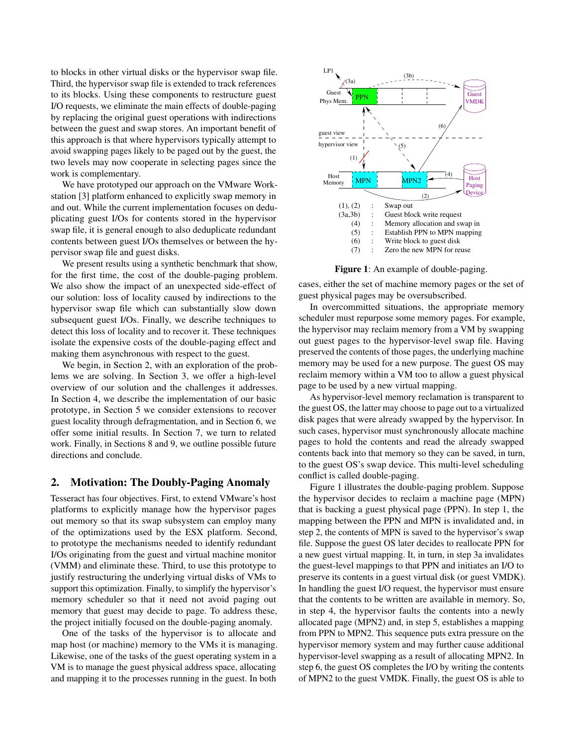to blocks in other virtual disks or the hypervisor swap file. Third, the hypervisor swap file is extended to track references to its blocks. Using these components to restructure guest I/O requests, we eliminate the main effects of double-paging by replacing the original guest operations with indirections between the guest and swap stores. An important benefit of this approach is that where hypervisors typically attempt to avoid swapping pages likely to be paged out by the guest, the two levels may now cooperate in selecting pages since the work is complementary.

We have prototyped our approach on the VMware Workstation [3] platform enhanced to explicitly swap memory in and out. While the current implementation focuses on deduplicating guest I/Os for contents stored in the hypervisor swap file, it is general enough to also deduplicate redundant contents between guest I/Os themselves or between the hypervisor swap file and guest disks.

We present results using a synthetic benchmark that show, for the first time, the cost of the double-paging problem. We also show the impact of an unexpected side-effect of our solution: loss of locality caused by indirections to the hypervisor swap file which can substantially slow down subsequent guest I/Os. Finally, we describe techniques to detect this loss of locality and to recover it. These techniques isolate the expensive costs of the double-paging effect and making them asynchronous with respect to the guest.

We begin, in Section 2, with an exploration of the problems we are solving. In Section 3, we offer a high-level overview of our solution and the challenges it addresses. In Section 4, we describe the implementation of our basic prototype, in Section 5 we consider extensions to recover guest locality through defragmentation, and in Section 6, we offer some initial results. In Section 7, we turn to related work. Finally, in Sections 8 and 9, we outline possible future directions and conclude.

# 2. Motivation: The Doubly-Paging Anomaly

Tesseract has four objectives. First, to extend VMware's host platforms to explicitly manage how the hypervisor pages out memory so that its swap subsystem can employ many of the optimizations used by the ESX platform. Second, to prototype the mechanisms needed to identify redundant I/Os originating from the guest and virtual machine monitor (VMM) and eliminate these. Third, to use this prototype to justify restructuring the underlying virtual disks of VMs to support this optimization. Finally, to simplify the hypervisor's memory scheduler so that it need not avoid paging out memory that guest may decide to page. To address these, the project initially focused on the double-paging anomaly.

One of the tasks of the hypervisor is to allocate and map host (or machine) memory to the VMs it is managing. Likewise, one of the tasks of the guest operating system in a VM is to manage the guest physical address space, allocating and mapping it to the processes running in the guest. In both



Figure 1: An example of double-paging.

cases, either the set of machine memory pages or the set of guest physical pages may be oversubscribed.

In overcommitted situations, the appropriate memory scheduler must repurpose some memory pages. For example, the hypervisor may reclaim memory from a VM by swapping out guest pages to the hypervisor-level swap file. Having preserved the contents of those pages, the underlying machine memory may be used for a new purpose. The guest OS may reclaim memory within a VM too to allow a guest physical page to be used by a new virtual mapping.

As hypervisor-level memory reclamation is transparent to the guest OS, the latter may choose to page out to a virtualized disk pages that were already swapped by the hypervisor. In such cases, hypervisor must synchronously allocate machine pages to hold the contents and read the already swapped contents back into that memory so they can be saved, in turn, to the guest OS's swap device. This multi-level scheduling conflict is called double-paging.

Figure 1 illustrates the double-paging problem. Suppose the hypervisor decides to reclaim a machine page (MPN) that is backing a guest physical page (PPN). In step 1, the mapping between the PPN and MPN is invalidated and, in step 2, the contents of MPN is saved to the hypervisor's swap file. Suppose the guest OS later decides to reallocate PPN for a new guest virtual mapping. It, in turn, in step 3a invalidates the guest-level mappings to that PPN and initiates an I/O to preserve its contents in a guest virtual disk (or guest VMDK). In handling the guest I/O request, the hypervisor must ensure that the contents to be written are available in memory. So, in step 4, the hypervisor faults the contents into a newly allocated page (MPN2) and, in step 5, establishes a mapping from PPN to MPN2. This sequence puts extra pressure on the hypervisor memory system and may further cause additional hypervisor-level swapping as a result of allocating MPN2. In step 6, the guest OS completes the I/O by writing the contents of MPN2 to the guest VMDK. Finally, the guest OS is able to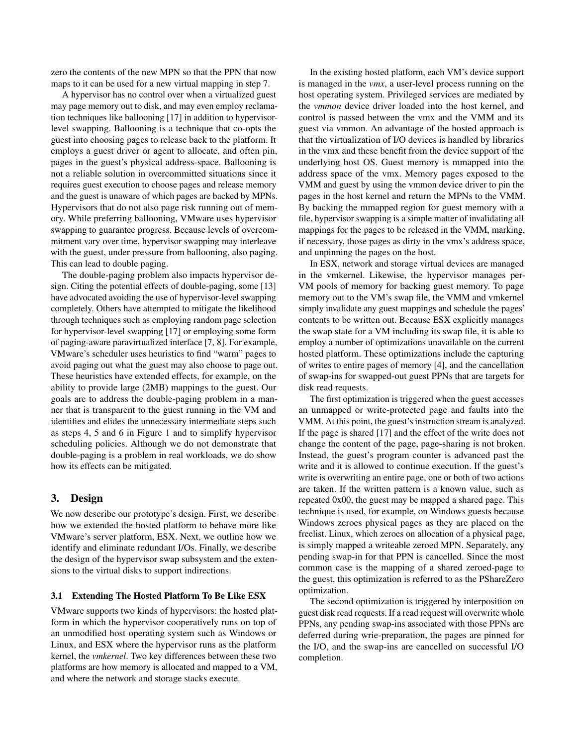zero the contents of the new MPN so that the PPN that now maps to it can be used for a new virtual mapping in step 7.

A hypervisor has no control over when a virtualized guest may page memory out to disk, and may even employ reclamation techniques like ballooning [17] in addition to hypervisorlevel swapping. Ballooning is a technique that co-opts the guest into choosing pages to release back to the platform. It employs a guest driver or agent to allocate, and often pin, pages in the guest's physical address-space. Ballooning is not a reliable solution in overcommitted situations since it requires guest execution to choose pages and release memory and the guest is unaware of which pages are backed by MPNs. Hypervisors that do not also page risk running out of memory. While preferring ballooning, VMware uses hypervisor swapping to guarantee progress. Because levels of overcommitment vary over time, hypervisor swapping may interleave with the guest, under pressure from ballooning, also paging. This can lead to double paging.

The double-paging problem also impacts hypervisor design. Citing the potential effects of double-paging, some [13] have advocated avoiding the use of hypervisor-level swapping completely. Others have attempted to mitigate the likelihood through techniques such as employing random page selection for hypervisor-level swapping [17] or employing some form of paging-aware paravirtualized interface [7, 8]. For example, VMware's scheduler uses heuristics to find "warm" pages to avoid paging out what the guest may also choose to page out. These heuristics have extended effects, for example, on the ability to provide large (2MB) mappings to the guest. Our goals are to address the double-paging problem in a manner that is transparent to the guest running in the VM and identifies and elides the unnecessary intermediate steps such as steps 4, 5 and 6 in Figure 1 and to simplify hypervisor scheduling policies. Although we do not demonstrate that double-paging is a problem in real workloads, we do show how its effects can be mitigated.

## 3. Design

We now describe our prototype's design. First, we describe how we extended the hosted platform to behave more like VMware's server platform, ESX. Next, we outline how we identify and eliminate redundant I/Os. Finally, we describe the design of the hypervisor swap subsystem and the extensions to the virtual disks to support indirections.

#### 3.1 Extending The Hosted Platform To Be Like ESX

VMware supports two kinds of hypervisors: the hosted platform in which the hypervisor cooperatively runs on top of an unmodified host operating system such as Windows or Linux, and ESX where the hypervisor runs as the platform kernel, the *vmkernel*. Two key differences between these two platforms are how memory is allocated and mapped to a VM, and where the network and storage stacks execute.

In the existing hosted platform, each VM's device support is managed in the *vmx*, a user-level process running on the host operating system. Privileged services are mediated by the *vmmon* device driver loaded into the host kernel, and control is passed between the vmx and the VMM and its guest via vmmon. An advantage of the hosted approach is that the virtualization of I/O devices is handled by libraries in the vmx and these benefit from the device support of the underlying host OS. Guest memory is mmapped into the address space of the vmx. Memory pages exposed to the VMM and guest by using the vmmon device driver to pin the pages in the host kernel and return the MPNs to the VMM. By backing the mmapped region for guest memory with a file, hypervisor swapping is a simple matter of invalidating all mappings for the pages to be released in the VMM, marking, if necessary, those pages as dirty in the vmx's address space, and unpinning the pages on the host.

In ESX, network and storage virtual devices are managed in the vmkernel. Likewise, the hypervisor manages per-VM pools of memory for backing guest memory. To page memory out to the VM's swap file, the VMM and vmkernel simply invalidate any guest mappings and schedule the pages' contents to be written out. Because ESX explicitly manages the swap state for a VM including its swap file, it is able to employ a number of optimizations unavailable on the current hosted platform. These optimizations include the capturing of writes to entire pages of memory [4], and the cancellation of swap-ins for swapped-out guest PPNs that are targets for disk read requests.

The first optimization is triggered when the guest accesses an unmapped or write-protected page and faults into the VMM. At this point, the guest's instruction stream is analyzed. If the page is shared [17] and the effect of the write does not change the content of the page, page-sharing is not broken. Instead, the guest's program counter is advanced past the write and it is allowed to continue execution. If the guest's write is overwriting an entire page, one or both of two actions are taken. If the written pattern is a known value, such as repeated 0x00, the guest may be mapped a shared page. This technique is used, for example, on Windows guests because Windows zeroes physical pages as they are placed on the freelist. Linux, which zeroes on allocation of a physical page, is simply mapped a writeable zeroed MPN. Separately, any pending swap-in for that PPN is cancelled. Since the most common case is the mapping of a shared zeroed-page to the guest, this optimization is referred to as the PShareZero optimization.

The second optimization is triggered by interposition on guest disk read requests. If a read request will overwrite whole PPNs, any pending swap-ins associated with those PPNs are deferred during wrie-preparation, the pages are pinned for the I/O, and the swap-ins are cancelled on successful I/O completion.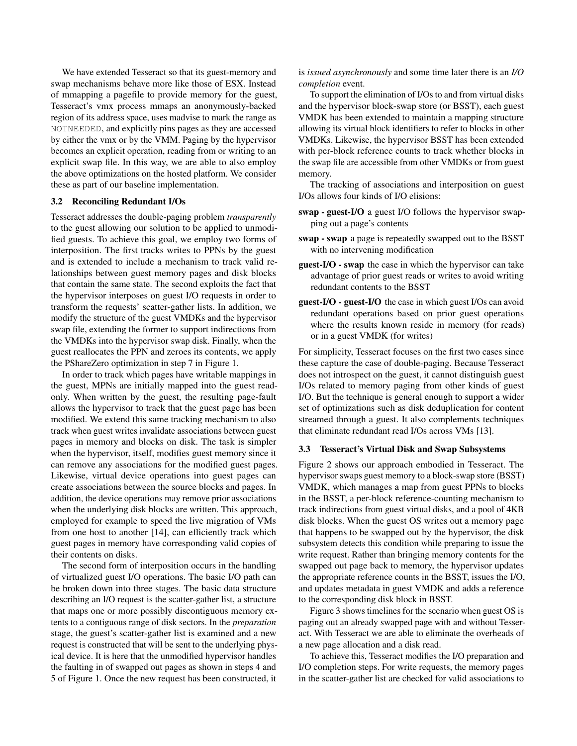We have extended Tesseract so that its guest-memory and swap mechanisms behave more like those of ESX. Instead of mmapping a pagefile to provide memory for the guest, Tesseract's vmx process mmaps an anonymously-backed region of its address space, uses madvise to mark the range as NOTNEEDED, and explicitly pins pages as they are accessed by either the vmx or by the VMM. Paging by the hypervisor becomes an explicit operation, reading from or writing to an explicit swap file. In this way, we are able to also employ the above optimizations on the hosted platform. We consider these as part of our baseline implementation.

## 3.2 Reconciling Redundant I/Os

Tesseract addresses the double-paging problem *transparently* to the guest allowing our solution to be applied to unmodified guests. To achieve this goal, we employ two forms of interposition. The first tracks writes to PPNs by the guest and is extended to include a mechanism to track valid relationships between guest memory pages and disk blocks that contain the same state. The second exploits the fact that the hypervisor interposes on guest I/O requests in order to transform the requests' scatter-gather lists. In addition, we modify the structure of the guest VMDKs and the hypervisor swap file, extending the former to support indirections from the VMDKs into the hypervisor swap disk. Finally, when the guest reallocates the PPN and zeroes its contents, we apply the PShareZero optimization in step 7 in Figure 1.

In order to track which pages have writable mappings in the guest, MPNs are initially mapped into the guest readonly. When written by the guest, the resulting page-fault allows the hypervisor to track that the guest page has been modified. We extend this same tracking mechanism to also track when guest writes invalidate associations between guest pages in memory and blocks on disk. The task is simpler when the hypervisor, itself, modifies guest memory since it can remove any associations for the modified guest pages. Likewise, virtual device operations into guest pages can create associations between the source blocks and pages. In addition, the device operations may remove prior associations when the underlying disk blocks are written. This approach, employed for example to speed the live migration of VMs from one host to another [14], can efficiently track which guest pages in memory have corresponding valid copies of their contents on disks.

The second form of interposition occurs in the handling of virtualized guest I/O operations. The basic I/O path can be broken down into three stages. The basic data structure describing an I/O request is the scatter-gather list, a structure that maps one or more possibly discontiguous memory extents to a contiguous range of disk sectors. In the *preparation* stage, the guest's scatter-gather list is examined and a new request is constructed that will be sent to the underlying physical device. It is here that the unmodified hypervisor handles the faulting in of swapped out pages as shown in steps 4 and 5 of Figure 1. Once the new request has been constructed, it

is *issued asynchronously* and some time later there is an *I/O completion* event.

To support the elimination of I/Os to and from virtual disks and the hypervisor block-swap store (or BSST), each guest VMDK has been extended to maintain a mapping structure allowing its virtual block identifiers to refer to blocks in other VMDKs. Likewise, the hypervisor BSST has been extended with per-block reference counts to track whether blocks in the swap file are accessible from other VMDKs or from guest memory.

The tracking of associations and interposition on guest I/Os allows four kinds of I/O elisions:

- swap guest-I/O a guest I/O follows the hypervisor swapping out a page's contents
- swap swap a page is repeatedly swapped out to the BSST with no intervening modification
- guest-I/O swap the case in which the hypervisor can take advantage of prior guest reads or writes to avoid writing redundant contents to the BSST
- guest-I/O guest-I/O the case in which guest I/Os can avoid redundant operations based on prior guest operations where the results known reside in memory (for reads) or in a guest VMDK (for writes)

For simplicity, Tesseract focuses on the first two cases since these capture the case of double-paging. Because Tesseract does not introspect on the guest, it cannot distinguish guest I/Os related to memory paging from other kinds of guest I/O. But the technique is general enough to support a wider set of optimizations such as disk deduplication for content streamed through a guest. It also complements techniques that eliminate redundant read I/Os across VMs [13].

## 3.3 Tesseract's Virtual Disk and Swap Subsystems

Figure 2 shows our approach embodied in Tesseract. The hypervisor swaps guest memory to a block-swap store (BSST) VMDK, which manages a map from guest PPNs to blocks in the BSST, a per-block reference-counting mechanism to track indirections from guest virtual disks, and a pool of 4KB disk blocks. When the guest OS writes out a memory page that happens to be swapped out by the hypervisor, the disk subsystem detects this condition while preparing to issue the write request. Rather than bringing memory contents for the swapped out page back to memory, the hypervisor updates the appropriate reference counts in the BSST, issues the I/O, and updates metadata in guest VMDK and adds a reference to the corresponding disk block in BSST.

Figure 3 shows timelines for the scenario when guest OS is paging out an already swapped page with and without Tesseract. With Tesseract we are able to eliminate the overheads of a new page allocation and a disk read.

To achieve this, Tesseract modifies the I/O preparation and I/O completion steps. For write requests, the memory pages in the scatter-gather list are checked for valid associations to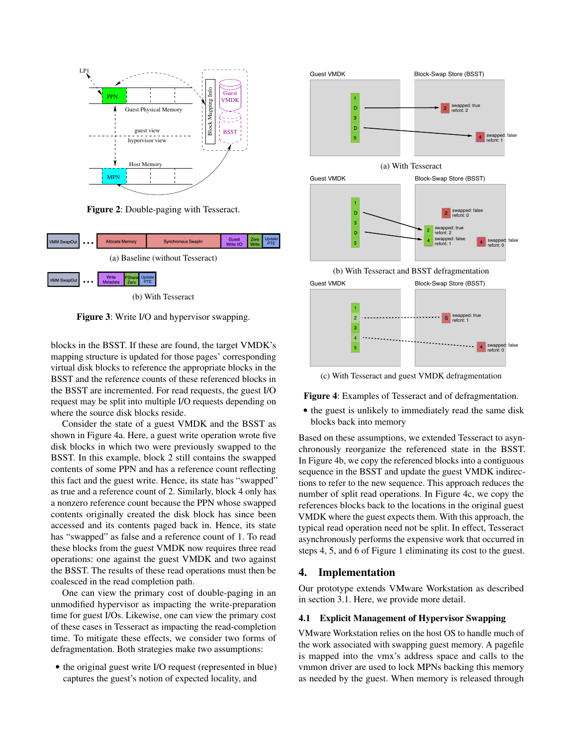

Figure 2: Double-paging with Tesseract.



Figure 3: Write I/O and hypervisor swapping.

blocks in the BSST. If these are found, the target VMDK's mapping structure is updated for those pages' corresponding virtual disk blocks to reference the appropriate blocks in the BSST and the reference counts of these referenced blocks in the BSST are incremented. For read requests, the guest I/O request may be split into multiple I/O requests depending on where the source disk blocks reside.

Consider the state of a guest VMDK and the BSST as shown in Figure 4a. Here, a guest write operation wrote five disk blocks in which two were previously swapped to the BSST. In this example, block 2 still contains the swapped contents of some PPN and has a reference count reflecting this fact and the guest write. Hence, its state has "swapped" as true and a reference count of 2. Similarly, block 4 only has a nonzero reference count because the PPN whose swapped contents originally created the disk block has since been accessed and its contents paged back in. Hence, its state has "swapped" as false and a reference count of 1. To read these blocks from the guest VMDK now requires three read operations: one against the guest VMDK and two against the BSST. The results of these read operations must then be coalesced in the read completion path.

One can view the primary cost of double-paging in an unmodified hypervisor as impacting the write-preparation time for guest I/Os. Likewise, one can view the primary cost of these cases in Tesseract as impacting the read-completion time. To mitigate these effects, we consider two forms of defragmentation. Both strategies make two assumptions:

• the original guest write I/O request (represented in blue) captures the guest's notion of expected locality, and



(c) With Tesseract and guest VMDK defragmentation

Figure 4: Examples of Tesseract and of defragmentation.

• the guest is unlikely to immediately read the same disk blocks back into memory

Based on these assumptions, we extended Tesseract to asynchronously reorganize the referenced state in the BSST. In Figure 4b, we copy the referenced blocks into a contiguous sequence in the BSST and update the guest VMDK indirections to refer to the new sequence. This approach reduces the number of split read operations. In Figure 4c, we copy the references blocks back to the locations in the original guest VMDK where the guest expects them. With this approach, the typical read operation need not be split. In effect, Tesseract asynchronously performs the expensive work that occurred in steps 4, 5, and 6 of Figure 1 eliminating its cost to the guest.

## 4. Implementation

Our prototype extends VMware Workstation as described in section 3.1. Here, we provide more detail.

#### 4.1 Explicit Management of Hypervisor Swapping

VMware Workstation relies on the host OS to handle much of the work associated with swapping guest memory. A pagefile is mapped into the vmx's address space and calls to the vmmon driver are used to lock MPNs backing this memory as needed by the guest. When memory is released through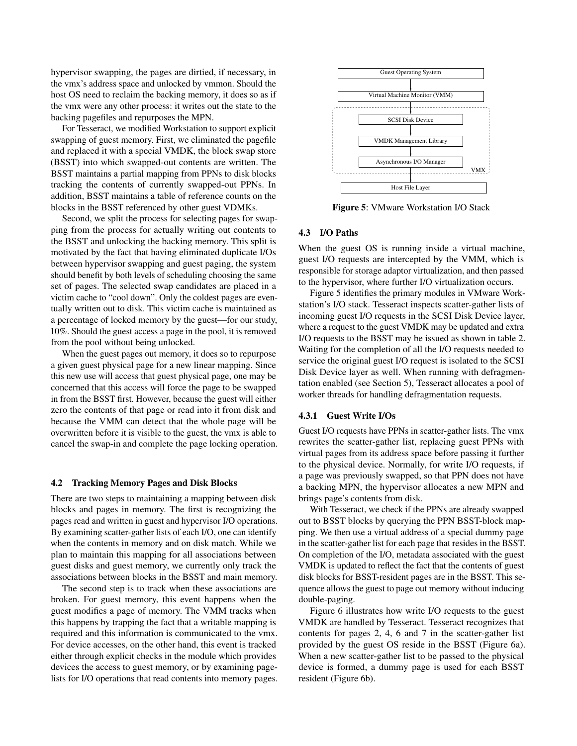hypervisor swapping, the pages are dirtied, if necessary, in the vmx's address space and unlocked by vmmon. Should the host OS need to reclaim the backing memory, it does so as if the vmx were any other process: it writes out the state to the backing pagefiles and repurposes the MPN.

For Tesseract, we modified Workstation to support explicit swapping of guest memory. First, we eliminated the pagefile and replaced it with a special VMDK, the block swap store (BSST) into which swapped-out contents are written. The BSST maintains a partial mapping from PPNs to disk blocks tracking the contents of currently swapped-out PPNs. In addition, BSST maintains a table of reference counts on the blocks in the BSST referenced by other guest VDMKs.

Second, we split the process for selecting pages for swapping from the process for actually writing out contents to the BSST and unlocking the backing memory. This split is motivated by the fact that having eliminated duplicate I/Os between hypervisor swapping and guest paging, the system should benefit by both levels of scheduling choosing the same set of pages. The selected swap candidates are placed in a victim cache to "cool down". Only the coldest pages are eventually written out to disk. This victim cache is maintained as a percentage of locked memory by the guest—for our study, 10%. Should the guest access a page in the pool, it is removed from the pool without being unlocked.

When the guest pages out memory, it does so to repurpose a given guest physical page for a new linear mapping. Since this new use will access that guest physical page, one may be concerned that this access will force the page to be swapped in from the BSST first. However, because the guest will either zero the contents of that page or read into it from disk and because the VMM can detect that the whole page will be overwritten before it is visible to the guest, the vmx is able to cancel the swap-in and complete the page locking operation.

#### 4.2 Tracking Memory Pages and Disk Blocks

There are two steps to maintaining a mapping between disk blocks and pages in memory. The first is recognizing the pages read and written in guest and hypervisor I/O operations. By examining scatter-gather lists of each I/O, one can identify when the contents in memory and on disk match. While we plan to maintain this mapping for all associations between guest disks and guest memory, we currently only track the associations between blocks in the BSST and main memory.

The second step is to track when these associations are broken. For guest memory, this event happens when the guest modifies a page of memory. The VMM tracks when this happens by trapping the fact that a writable mapping is required and this information is communicated to the vmx. For device accesses, on the other hand, this event is tracked either through explicit checks in the module which provides devices the access to guest memory, or by examining pagelists for I/O operations that read contents into memory pages.



Figure 5: VMware Workstation I/O Stack

## 4.3 I/O Paths

When the guest OS is running inside a virtual machine, guest I/O requests are intercepted by the VMM, which is responsible for storage adaptor virtualization, and then passed to the hypervisor, where further I/O virtualization occurs.

Figure 5 identifies the primary modules in VMware Workstation's I/O stack. Tesseract inspects scatter-gather lists of incoming guest I/O requests in the SCSI Disk Device layer, where a request to the guest VMDK may be updated and extra I/O requests to the BSST may be issued as shown in table 2. Waiting for the completion of all the I/O requests needed to service the original guest I/O request is isolated to the SCSI Disk Device layer as well. When running with defragmentation enabled (see Section 5), Tesseract allocates a pool of worker threads for handling defragmentation requests.

#### 4.3.1 Guest Write I/Os

Guest I/O requests have PPNs in scatter-gather lists. The vmx rewrites the scatter-gather list, replacing guest PPNs with virtual pages from its address space before passing it further to the physical device. Normally, for write I/O requests, if a page was previously swapped, so that PPN does not have a backing MPN, the hypervisor allocates a new MPN and brings page's contents from disk.

With Tesseract, we check if the PPNs are already swapped out to BSST blocks by querying the PPN BSST-block mapping. We then use a virtual address of a special dummy page in the scatter-gather list for each page that resides in the BSST. On completion of the I/O, metadata associated with the guest VMDK is updated to reflect the fact that the contents of guest disk blocks for BSST-resident pages are in the BSST. This sequence allows the guest to page out memory without inducing double-paging.

Figure 6 illustrates how write I/O requests to the guest VMDK are handled by Tesseract. Tesseract recognizes that contents for pages 2, 4, 6 and 7 in the scatter-gather list provided by the guest OS reside in the BSST (Figure 6a). When a new scatter-gather list to be passed to the physical device is formed, a dummy page is used for each BSST resident (Figure 6b).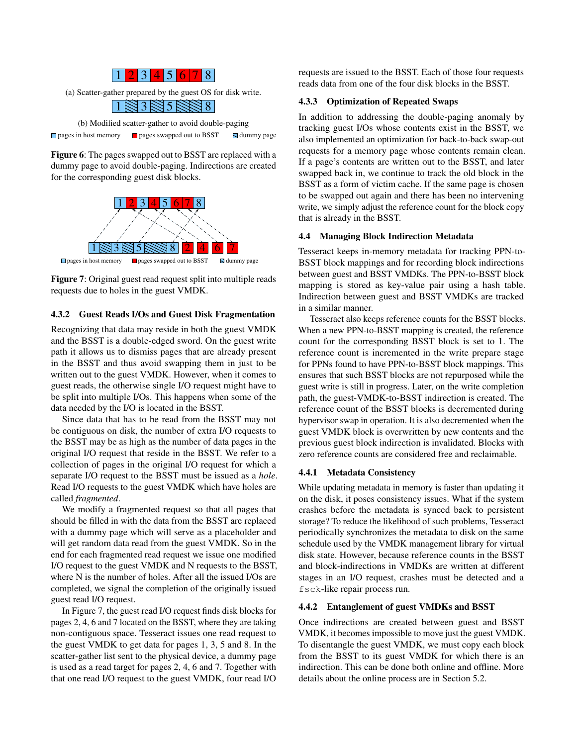

(a) Scatter-gather prepared by the guest OS for disk write.  $13835888$ 



Figure 6: The pages swapped out to BSST are replaced with a dummy page to avoid double-paging. Indirections are created for the corresponding guest disk blocks.



Figure 7: Original guest read request split into multiple reads requests due to holes in the guest VMDK.

# 4.3.2 Guest Reads I/Os and Guest Disk Fragmentation

Recognizing that data may reside in both the guest VMDK and the BSST is a double-edged sword. On the guest write path it allows us to dismiss pages that are already present in the BSST and thus avoid swapping them in just to be written out to the guest VMDK. However, when it comes to guest reads, the otherwise single I/O request might have to be split into multiple I/Os. This happens when some of the data needed by the I/O is located in the BSST.

Since data that has to be read from the BSST may not be contiguous on disk, the number of extra I/O requests to the BSST may be as high as the number of data pages in the original I/O request that reside in the BSST. We refer to a collection of pages in the original I/O request for which a separate I/O request to the BSST must be issued as a *hole*. Read I/O requests to the guest VMDK which have holes are called *fragmented*.

We modify a fragmented request so that all pages that should be filled in with the data from the BSST are replaced with a dummy page which will serve as a placeholder and will get random data read from the guest VMDK. So in the end for each fragmented read request we issue one modified I/O request to the guest VMDK and N requests to the BSST, where N is the number of holes. After all the issued I/Os are completed, we signal the completion of the originally issued guest read I/O request.

In Figure 7, the guest read I/O request finds disk blocks for pages 2, 4, 6 and 7 located on the BSST, where they are taking non-contiguous space. Tesseract issues one read request to the guest VMDK to get data for pages 1, 3, 5 and 8. In the scatter-gather list sent to the physical device, a dummy page is used as a read target for pages 2, 4, 6 and 7. Together with that one read I/O request to the guest VMDK, four read I/O requests are issued to the BSST. Each of those four requests reads data from one of the four disk blocks in the BSST.

# 4.3.3 Optimization of Repeated Swaps

In addition to addressing the double-paging anomaly by tracking guest I/Os whose contents exist in the BSST, we also implemented an optimization for back-to-back swap-out requests for a memory page whose contents remain clean. If a page's contents are written out to the BSST, and later swapped back in, we continue to track the old block in the BSST as a form of victim cache. If the same page is chosen to be swapped out again and there has been no intervening write, we simply adjust the reference count for the block copy that is already in the BSST.

# 4.4 Managing Block Indirection Metadata

Tesseract keeps in-memory metadata for tracking PPN-to-BSST block mappings and for recording block indirections between guest and BSST VMDKs. The PPN-to-BSST block mapping is stored as key-value pair using a hash table. Indirection between guest and BSST VMDKs are tracked in a similar manner.

Tesseract also keeps reference counts for the BSST blocks. When a new PPN-to-BSST mapping is created, the reference count for the corresponding BSST block is set to 1. The reference count is incremented in the write prepare stage for PPNs found to have PPN-to-BSST block mappings. This ensures that such BSST blocks are not repurposed while the guest write is still in progress. Later, on the write completion path, the guest-VMDK-to-BSST indirection is created. The reference count of the BSST blocks is decremented during hypervisor swap in operation. It is also decremented when the guest VMDK block is overwritten by new contents and the previous guest block indirection is invalidated. Blocks with zero reference counts are considered free and reclaimable.

# 4.4.1 Metadata Consistency

While updating metadata in memory is faster than updating it on the disk, it poses consistency issues. What if the system crashes before the metadata is synced back to persistent storage? To reduce the likelihood of such problems, Tesseract periodically synchronizes the metadata to disk on the same schedule used by the VMDK management library for virtual disk state. However, because reference counts in the BSST and block-indirections in VMDKs are written at different stages in an I/O request, crashes must be detected and a fsck-like repair process run.

# 4.4.2 Entanglement of guest VMDKs and BSST

Once indirections are created between guest and BSST VMDK, it becomes impossible to move just the guest VMDK. To disentangle the guest VMDK, we must copy each block from the BSST to its guest VMDK for which there is an indirection. This can be done both online and offline. More details about the online process are in Section 5.2.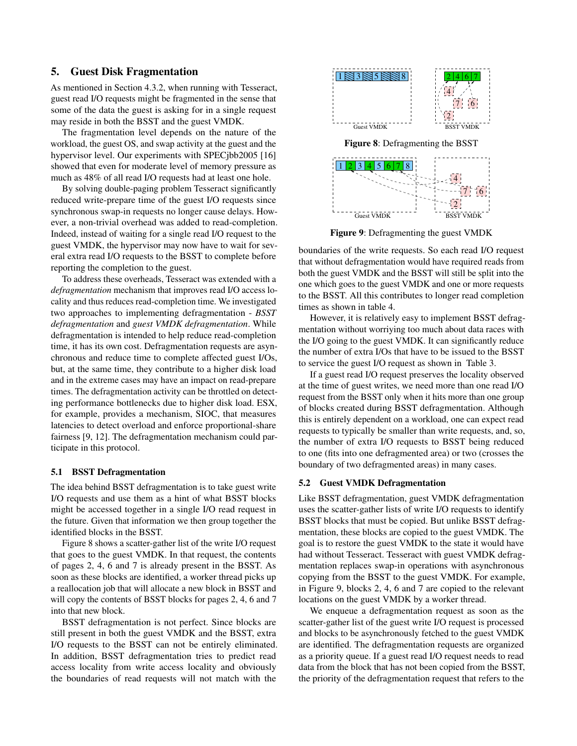# 5. Guest Disk Fragmentation

As mentioned in Section 4.3.2, when running with Tesseract, guest read I/O requests might be fragmented in the sense that some of the data the guest is asking for in a single request may reside in both the BSST and the guest VMDK.

The fragmentation level depends on the nature of the workload, the guest OS, and swap activity at the guest and the hypervisor level. Our experiments with SPECjbb2005 [16] showed that even for moderate level of memory pressure as much as 48% of all read I/O requests had at least one hole.

By solving double-paging problem Tesseract significantly reduced write-prepare time of the guest I/O requests since synchronous swap-in requests no longer cause delays. However, a non-trivial overhead was added to read-completion. Indeed, instead of waiting for a single read I/O request to the guest VMDK, the hypervisor may now have to wait for several extra read I/O requests to the BSST to complete before reporting the completion to the guest.

To address these overheads, Tesseract was extended with a *defragmentation* mechanism that improves read I/O access locality and thus reduces read-completion time. We investigated two approaches to implementing defragmentation - *BSST defragmentation* and *guest VMDK defragmentation*. While defragmentation is intended to help reduce read-completion time, it has its own cost. Defragmentation requests are asynchronous and reduce time to complete affected guest I/Os, but, at the same time, they contribute to a higher disk load and in the extreme cases may have an impact on read-prepare times. The defragmentation activity can be throttled on detecting performance bottlenecks due to higher disk load. ESX, for example, provides a mechanism, SIOC, that measures latencies to detect overload and enforce proportional-share fairness [9, 12]. The defragmentation mechanism could participate in this protocol. the boundaries of read requests will not match with the 4

## 5.1 BSST Defragmentation

The idea behind BSST defragmentation is to take guest write I/O requests and use them as a hint of what BSST blocks might be accessed together in a single I/O read request in the future. Given that information we then group together the identified blocks in the BSST.

Figure 8 shows a scatter-gather list of the write I/O request that goes to the guest VMDK. In that request, the contents of pages 2, 4, 6 and 7 is already present in the BSST. As soon as these blocks are identified, a worker thread picks up a reallocation job that will allocate a new block in BSST and will copy the contents of BSST blocks for pages 2, 4, 6 and 7 into that new block.

BSST defragmentation is not perfect. Since blocks are still present in both the guest VMDK and the BSST, extra I/O requests to the BSST can not be entirely eliminated. In addition, BSST defragmentation tries to predict read access locality from write access locality and obviously



Figure 9: Defragmenting the guest VMDK

boundaries of the write requests. So each read I/O request that without defragmentation would have required reads from both the guest VMDK and the BSST will still be split into the one which goes to the guest VMDK and one or more requests to the BSST. All this contributes to longer read completion times as shown in table 4.

However, it is relatively easy to implement BSST defragmentation without worriying too much about data races with the I/O going to the guest VMDK. It can significantly reduce the number of extra I/Os that have to be issued to the BSST to service the guest I/O request as shown in Table 3.

If a guest read I/O request preserves the locality observed at the time of guest writes, we need more than one read I/O request from the BSST only when it hits more than one group of blocks created during BSST defragmentation. Although this is entirely dependent on a workload, one can expect read requests to typically be smaller than write requests, and, so, the number of extra I/O requests to BSST being reduced to one (fits into one defragmented area) or two (crosses the boundary of two defragmented areas) in many cases.

## 5.2 Guest VMDK Defragmentation

Like BSST defragmentation, guest VMDK defragmentation uses the scatter-gather lists of write I/O requests to identify BSST blocks that must be copied. But unlike BSST defragmentation, these blocks are copied to the guest VMDK. The goal is to restore the guest VMDK to the state it would have had without Tesseract. Tesseract with guest VMDK defragmentation replaces swap-in operations with asynchronous copying from the BSST to the guest VMDK. For example, in Figure 9, blocks 2, 4, 6 and 7 are copied to the relevant locations on the guest VMDK by a worker thread.

We enqueue a defragmentation request as soon as the scatter-gather list of the guest write I/O request is processed and blocks to be asynchronously fetched to the guest VMDK are identified. The defragmentation requests are organized as a priority queue. If a guest read I/O request needs to read data from the block that has not been copied from the BSST, the priority of the defragmentation request that refers to the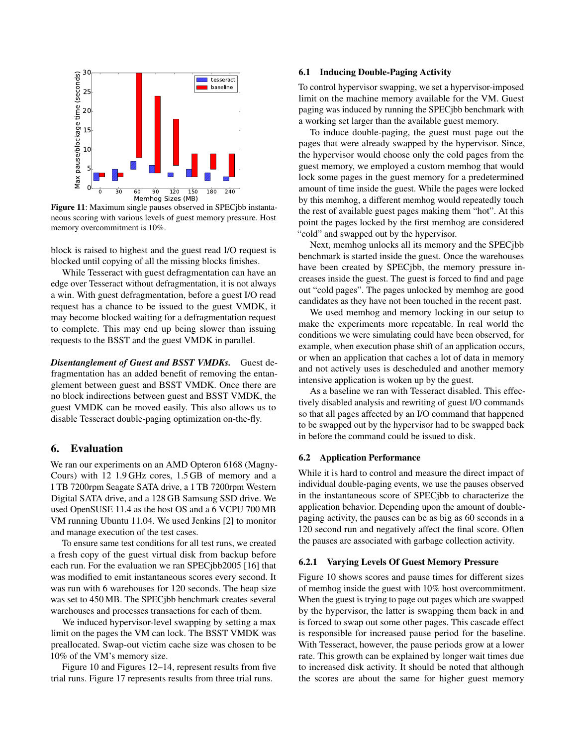

Figure 11: Maximum single pauses observed in SPECjbb instantaneous scoring with various levels of guest memory pressure. Host memory overcommitment is 10%.

block is raised to highest and the guest read I/O request is blocked until copying of all the missing blocks finishes.

While Tesseract with guest defragmentation can have an edge over Tesseract without defragmentation, it is not always a win. With guest defragmentation, before a guest I/O read request has a chance to be issued to the guest VMDK, it may become blocked waiting for a defragmentation request to complete. This may end up being slower than issuing requests to the BSST and the guest VMDK in parallel.

*Disentanglement of Guest and BSST VMDKs.* Guest defragmentation has an added benefit of removing the entanglement between guest and BSST VMDK. Once there are no block indirections between guest and BSST VMDK, the guest VMDK can be moved easily. This also allows us to disable Tesseract double-paging optimization on-the-fly.

# 6. Evaluation

We ran our experiments on an AMD Opteron 6168 (Magny-Cours) with 12 1.9 GHz cores, 1.5 GB of memory and a 1 TB 7200rpm Seagate SATA drive, a 1 TB 7200rpm Western Digital SATA drive, and a 128 GB Samsung SSD drive. We used OpenSUSE 11.4 as the host OS and a 6 VCPU 700 MB VM running Ubuntu 11.04. We used Jenkins [2] to monitor and manage execution of the test cases.

To ensure same test conditions for all test runs, we created a fresh copy of the guest virtual disk from backup before each run. For the evaluation we ran SPECjbb2005 [16] that was modified to emit instantaneous scores every second. It was run with 6 warehouses for 120 seconds. The heap size was set to 450 MB. The SPECjbb benchmark creates several warehouses and processes transactions for each of them.

We induced hypervisor-level swapping by setting a max limit on the pages the VM can lock. The BSST VMDK was preallocated. Swap-out victim cache size was chosen to be 10% of the VM's memory size.

Figure 10 and Figures 12–14, represent results from five trial runs. Figure 17 represents results from three trial runs.

## 6.1 Inducing Double-Paging Activity

To control hypervisor swapping, we set a hypervisor-imposed limit on the machine memory available for the VM. Guest paging was induced by running the SPECjbb benchmark with a working set larger than the available guest memory.

To induce double-paging, the guest must page out the pages that were already swapped by the hypervisor. Since, the hypervisor would choose only the cold pages from the guest memory, we employed a custom memhog that would lock some pages in the guest memory for a predetermined amount of time inside the guest. While the pages were locked by this memhog, a different memhog would repeatedly touch the rest of available guest pages making them "hot". At this point the pages locked by the first memhog are considered "cold" and swapped out by the hypervisor.

Next, memhog unlocks all its memory and the SPECjbb benchmark is started inside the guest. Once the warehouses have been created by SPECjbb, the memory pressure increases inside the guest. The guest is forced to find and page out "cold pages". The pages unlocked by memhog are good candidates as they have not been touched in the recent past.

We used memhog and memory locking in our setup to make the experiments more repeatable. In real world the conditions we were simulating could have been observed, for example, when execution phase shift of an application occurs, or when an application that caches a lot of data in memory and not actively uses is descheduled and another memory intensive application is woken up by the guest.

As a baseline we ran with Tesseract disabled. This effectively disabled analysis and rewriting of guest I/O commands so that all pages affected by an I/O command that happened to be swapped out by the hypervisor had to be swapped back in before the command could be issued to disk.

## 6.2 Application Performance

While it is hard to control and measure the direct impact of individual double-paging events, we use the pauses observed in the instantaneous score of SPECjbb to characterize the application behavior. Depending upon the amount of doublepaging activity, the pauses can be as big as 60 seconds in a 120 second run and negatively affect the final score. Often the pauses are associated with garbage collection activity.

#### 6.2.1 Varying Levels Of Guest Memory Pressure

Figure 10 shows scores and pause times for different sizes of memhog inside the guest with 10% host overcommitment. When the guest is trying to page out pages which are swapped by the hypervisor, the latter is swapping them back in and is forced to swap out some other pages. This cascade effect is responsible for increased pause period for the baseline. With Tesseract, however, the pause periods grow at a lower rate. This growth can be explained by longer wait times due to increased disk activity. It should be noted that although the scores are about the same for higher guest memory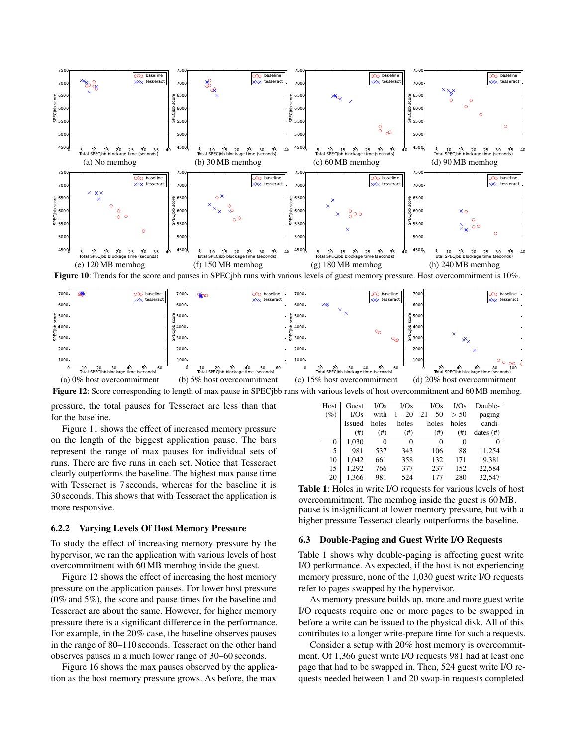



Figure 12: Score corresponding to length of max pause in SPECjbb runs with various levels of host overcommitment and 60 MB memhog.

pressure, the total pauses for Tesseract are less than that for the baseline.

Figure 11 shows the effect of increased memory pressure on the length of the biggest application pause. The bars represent the range of max pauses for individual sets of runs. There are five runs in each set. Notice that Tesseract clearly outperforms the baseline. The highest max pause time with Tesseract is 7 seconds, whereas for the baseline it is 30 seconds. This shows that with Tesseract the application is more responsive.

#### 6.2.2 Varying Levels Of Host Memory Pressure

To study the effect of increasing memory pressure by the hypervisor, we ran the application with various levels of host overcommitment with 60 MB memhog inside the guest.

Figure 12 shows the effect of increasing the host memory pressure on the application pauses. For lower host pressure (0% and 5%), the score and pause times for the baseline and Tesseract are about the same. However, for higher memory pressure there is a significant difference in the performance. For example, in the 20% case, the baseline observes pauses in the range of 80–110 seconds. Tesseract on the other hand observes pauses in a much lower range of 30–60 seconds.

Figure 16 shows the max pauses observed by the application as the host memory pressure grows. As before, the max

| Host   | Guest  | $UOS$ | I/Os     | I/Os      | I/Os  | Double-     |
|--------|--------|-------|----------|-----------|-------|-------------|
| $(\%)$ | $UOS$  | with  | $1 - 20$ | $21 - 50$ | > 50  | paging      |
|        | Issued | holes | holes    | holes     | holes | candi-      |
|        | (# )   | (# )  | (# )     | (# )      | (# )  | dates $(#)$ |
| 0      | 1.030  | 0     | $\Omega$ | $\theta$  | 0     | $_{0}$      |
| 5      | 981    | 537   | 343      | 106       | 88    | 11.254      |
| 10     | 1.042  | 661   | 358      | 132       | 171   | 19,381      |
| 15     | 1.292  | 766   | 377      | 237       | 152   | 22,584      |
| 20     | 1.366  | 981   | 524      | 177       | 280   | 32.547      |

Table 1: Holes in write I/O requests for various levels of host overcommitment. The memhog inside the guest is 60 MB. pause is insignificant at lower memory pressure, but with a higher pressure Tesseract clearly outperforms the baseline.

#### 6.3 Double-Paging and Guest Write I/O Requests

Table 1 shows why double-paging is affecting guest write I/O performance. As expected, if the host is not experiencing memory pressure, none of the 1,030 guest write I/O requests refer to pages swapped by the hypervisor.

As memory pressure builds up, more and more guest write I/O requests require one or more pages to be swapped in before a write can be issued to the physical disk. All of this contributes to a longer write-prepare time for such a requests.

Consider a setup with 20% host memory is overcommitment. Of 1,366 guest write I/O requests 981 had at least one page that had to be swapped in. Then, 524 guest write I/O requests needed between 1 and 20 swap-in requests completed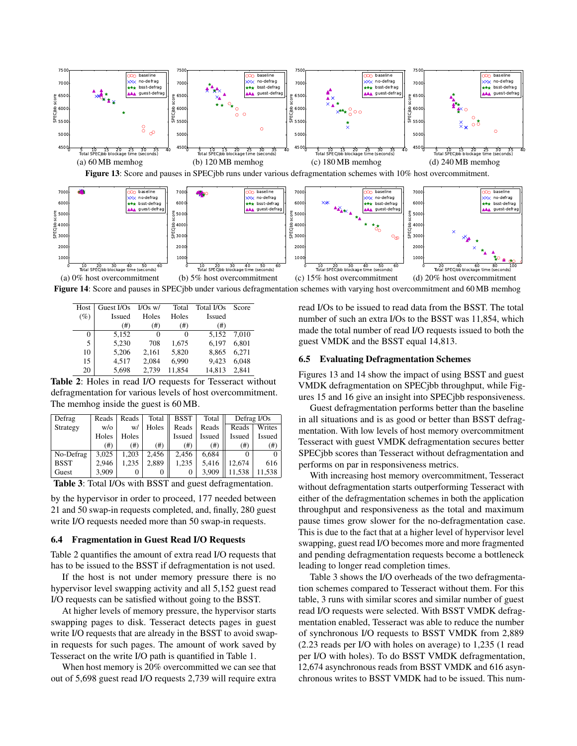





Figure 14: Score and pauses in SPECjbb under various defragmentation schemes with varying host overcommitment and 60 MB memhog

| Host   | Guest I/Os    | $I/Os$ w/ | Total    | Total I/Os    | Score |
|--------|---------------|-----------|----------|---------------|-------|
| $(\%)$ | <b>Issued</b> | Holes     | Holes    | <b>Issued</b> |       |
|        | (# )          | (# )      | (# )     | (# )          |       |
| 0      | 5.152         | 0         | $\theta$ | 5.152         | 7.010 |
| 5      | 5,230         | 708       | 1,675    | 6.197         | 6.801 |
| 10     | 5.206         | 2.161     | 5,820    | 8.865         | 6.271 |
| 15     | 4.517         | 2,084     | 6.990    | 9.423         | 6.048 |
| 20     | 5,698         | 2.739     | 11.854   | 14.813        | 2.841 |

Table 2: Holes in read I/O requests for Tesseract without defragmentation for various levels of host overcommitment. The memhog inside the guest is 60 MB.

| Defrag      | Reads    | Reads | Total | <b>BSST</b> | Total  |        | Defrag $I/Os$ |
|-------------|----------|-------|-------|-------------|--------|--------|---------------|
| Strategy    | W/O      | w/    | Holes | Reads       | Reads  | Reads  | Writes        |
|             | Holes    | Holes |       | Issued      | Issued | Issued | <b>Issued</b> |
|             | $^{(+)}$ | (#)   | (# )  | (# )        | (#)    | (#)    | $^{(+)}$      |
| No-Defrag   | 3.025    | 1.203 | 2.456 | 2.456       | 6.684  |        |               |
| <b>BSST</b> | 2.946    | 1.235 | 2.889 | 1,235       | 5.416  | 12.674 | 616           |
| Guest       | 3,909    |       |       |             | 3.909  | 11.538 | 11.538        |

Table 3: Total I/Os with BSST and guest defragmentation.

by the hypervisor in order to proceed, 177 needed between 21 and 50 swap-in requests completed, and, finally, 280 guest write I/O requests needed more than 50 swap-in requests.

#### 6.4 Fragmentation in Guest Read I/O Requests

Table 2 quantifies the amount of extra read I/O requests that has to be issued to the BSST if defragmentation is not used.

If the host is not under memory pressure there is no hypervisor level swapping activity and all 5,152 guest read I/O requests can be satisfied without going to the BSST.

At higher levels of memory pressure, the hypervisor starts swapping pages to disk. Tesseract detects pages in guest write I/O requests that are already in the BSST to avoid swapin requests for such pages. The amount of work saved by Tesseract on the write I/O path is quantified in Table 1.

When host memory is 20% overcommitted we can see that out of 5,698 guest read I/O requests 2,739 will require extra read I/Os to be issued to read data from the BSST. The total number of such an extra I/Os to the BSST was 11,854, which made the total number of read I/O requests issued to both the guest VMDK and the BSST equal 14,813.

#### 6.5 Evaluating Defragmentation Schemes

Figures 13 and 14 show the impact of using BSST and guest VMDK defragmentation on SPECjbb throughput, while Figures 15 and 16 give an insight into SPECjbb responsiveness.

Guest defragmentation performs better than the baseline in all situations and is as good or better than BSST defragmentation. With low levels of host memory overcommitment Tesseract with guest VMDK defragmentation secures better SPECjbb scores than Tesseract without defragmentation and performs on par in responsiveness metrics.

With increasing host memory overcommitment, Tesseract without defragmentation starts outperforming Tesseract with either of the defragmentation schemes in both the application throughput and responsiveness as the total and maximum pause times grow slower for the no-defragmentation case. This is due to the fact that at a higher level of hypervisor level swapping, guest read I/O becomes more and more fragmented and pending defragmentation requests become a bottleneck leading to longer read completion times.

Table 3 shows the I/O overheads of the two defragmentation schemes compared to Tesseract without them. For this table, 3 runs with similar scores and similar number of guest read I/O requests were selected. With BSST VMDK defragmentation enabled, Tesseract was able to reduce the number of synchronous I/O requests to BSST VMDK from 2,889 (2.23 reads per I/O with holes on average) to 1,235 (1 read per I/O with holes). To do BSST VMDK defragmentation, 12,674 asynchronous reads from BSST VMDK and 616 asynchronous writes to BSST VMDK had to be issued. This num-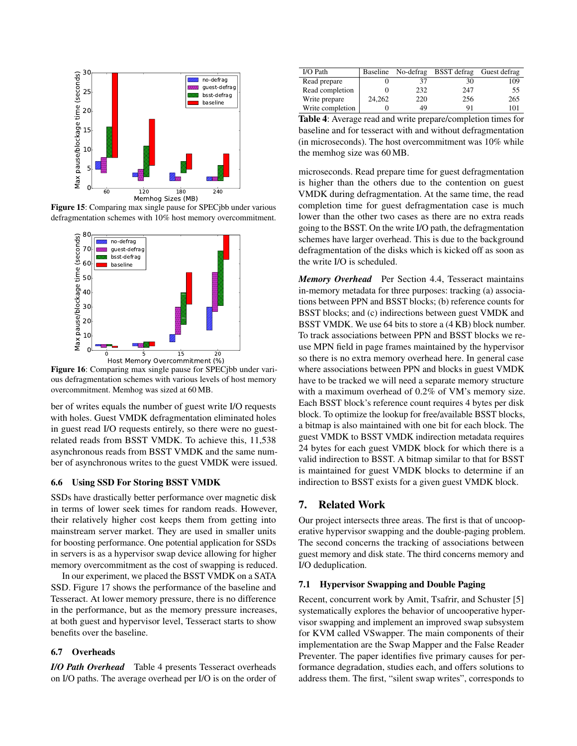

Figure 15: Comparing max single pause for SPECjbb under various defragmentation schemes with 10% host memory overcommitment.



Figure 16: Comparing max single pause for SPECjbb under various defragmentation schemes with various levels of host memory overcommitment. Memhog was sized at 60 MB.

ber of writes equals the number of guest write I/O requests with holes. Guest VMDK defragmentation eliminated holes in guest read I/O requests entirely, so there were no guestrelated reads from BSST VMDK. To achieve this, 11,538 asynchronous reads from BSST VMDK and the same number of asynchronous writes to the guest VMDK were issued.

## 6.6 Using SSD For Storing BSST VMDK

SSDs have drastically better performance over magnetic disk in terms of lower seek times for random reads. However, their relatively higher cost keeps them from getting into mainstream server market. They are used in smaller units for boosting performance. One potential application for SSDs in servers is as a hypervisor swap device allowing for higher memory overcommitment as the cost of swapping is reduced.

In our experiment, we placed the BSST VMDK on a SATA SSD. Figure 17 shows the performance of the baseline and Tesseract. At lower memory pressure, there is no difference in the performance, but as the memory pressure increases, at both guest and hypervisor level, Tesseract starts to show benefits over the baseline.

# 6.7 Overheads

*I/O Path Overhead* Table 4 presents Tesseract overheads on I/O paths. The average overhead per I/O is on the order of

| I/O Path         | Baseline | No-defrag | <b>BSST</b> defrag | Guest defrag |
|------------------|----------|-----------|--------------------|--------------|
| Read prepare     |          |           | 30                 | 109          |
| Read completion  |          | 232       | 247                | 55           |
| Write prepare    | 24.262   | 220       | 256                | 265          |
| Write completion |          | 49        |                    | 101          |

Table 4: Average read and write prepare/completion times for baseline and for tesseract with and without defragmentation (in microseconds). The host overcommitment was 10% while the memhog size was 60 MB.

microseconds. Read prepare time for guest defragmentation is higher than the others due to the contention on guest VMDK during defragmentation. At the same time, the read completion time for guest defragmentation case is much lower than the other two cases as there are no extra reads going to the BSST. On the write I/O path, the defragmentation schemes have larger overhead. This is due to the background defragmentation of the disks which is kicked off as soon as the write I/O is scheduled.

*Memory Overhead* Per Section 4.4, Tesseract maintains in-memory metadata for three purposes: tracking (a) associations between PPN and BSST blocks; (b) reference counts for BSST blocks; and (c) indirections between guest VMDK and BSST VMDK. We use 64 bits to store a (4 KB) block number. To track associations between PPN and BSST blocks we reuse MPN field in page frames maintained by the hypervisor so there is no extra memory overhead here. In general case where associations between PPN and blocks in guest VMDK have to be tracked we will need a separate memory structure with a maximum overhead of 0.2% of VM's memory size. Each BSST block's reference count requires 4 bytes per disk block. To optimize the lookup for free/available BSST blocks, a bitmap is also maintained with one bit for each block. The guest VMDK to BSST VMDK indirection metadata requires 24 bytes for each guest VMDK block for which there is a valid indirection to BSST. A bitmap similar to that for BSST is maintained for guest VMDK blocks to determine if an indirection to BSST exists for a given guest VMDK block.

## 7. Related Work

Our project intersects three areas. The first is that of uncooperative hypervisor swapping and the double-paging problem. The second concerns the tracking of associations between guest memory and disk state. The third concerns memory and I/O deduplication.

#### 7.1 Hypervisor Swapping and Double Paging

Recent, concurrent work by Amit, Tsafrir, and Schuster [5] systematically explores the behavior of uncooperative hypervisor swapping and implement an improved swap subsystem for KVM called VSwapper. The main components of their implementation are the Swap Mapper and the False Reader Preventer. The paper identifies five primary causes for performance degradation, studies each, and offers solutions to address them. The first, "silent swap writes", corresponds to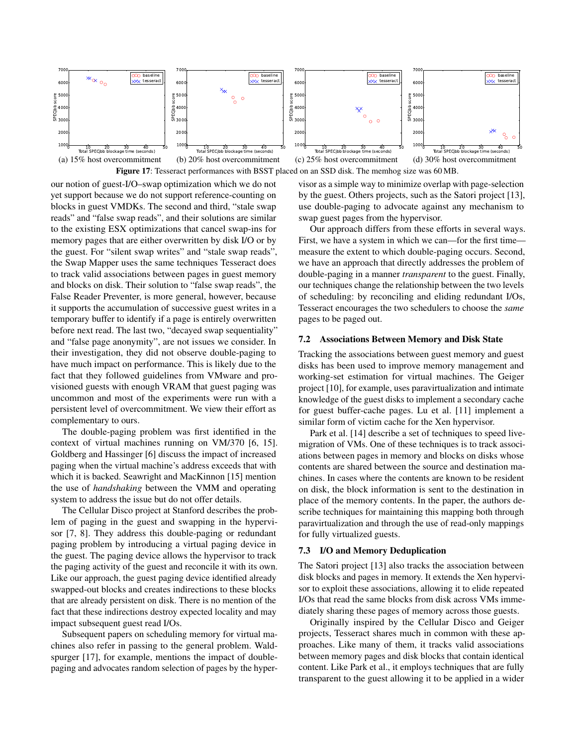

our notion of guest-I/O–swap optimization which we do not yet support because we do not support reference-counting on blocks in guest VMDKs. The second and third, "stale swap reads" and "false swap reads", and their solutions are similar to the existing ESX optimizations that cancel swap-ins for memory pages that are either overwritten by disk I/O or by the guest. For "silent swap writes" and "stale swap reads", the Swap Mapper uses the same techniques Tesseract does to track valid associations between pages in guest memory and blocks on disk. Their solution to "false swap reads", the False Reader Preventer, is more general, however, because it supports the accumulation of successive guest writes in a temporary buffer to identify if a page is entirely overwritten before next read. The last two, "decayed swap sequentiality" and "false page anonymity", are not issues we consider. In their investigation, they did not observe double-paging to have much impact on performance. This is likely due to the fact that they followed guidelines from VMware and provisioned guests with enough VRAM that guest paging was uncommon and most of the experiments were run with a persistent level of overcommitment. We view their effort as complementary to ours.

The double-paging problem was first identified in the context of virtual machines running on VM/370 [6, 15]. Goldberg and Hassinger [6] discuss the impact of increased paging when the virtual machine's address exceeds that with which it is backed. Seawright and MacKinnon [15] mention the use of *handshaking* between the VMM and operating system to address the issue but do not offer details.

The Cellular Disco project at Stanford describes the problem of paging in the guest and swapping in the hypervisor [7, 8]. They address this double-paging or redundant paging problem by introducing a virtual paging device in the guest. The paging device allows the hypervisor to track the paging activity of the guest and reconcile it with its own. Like our approach, the guest paging device identified already swapped-out blocks and creates indirections to these blocks that are already persistent on disk. There is no mention of the fact that these indirections destroy expected locality and may impact subsequent guest read I/Os.

Subsequent papers on scheduling memory for virtual machines also refer in passing to the general problem. Waldspurger [17], for example, mentions the impact of doublepaging and advocates random selection of pages by the hypervisor as a simple way to minimize overlap with page-selection by the guest. Others projects, such as the Satori project [13], use double-paging to advocate against any mechanism to swap guest pages from the hypervisor.

Our approach differs from these efforts in several ways. First, we have a system in which we can—for the first time measure the extent to which double-paging occurs. Second, we have an approach that directly addresses the problem of double-paging in a manner *transparent* to the guest. Finally, our techniques change the relationship between the two levels of scheduling: by reconciling and eliding redundant I/Os, Tesseract encourages the two schedulers to choose the *same* pages to be paged out.

#### 7.2 Associations Between Memory and Disk State

Tracking the associations between guest memory and guest disks has been used to improve memory management and working-set estimation for virtual machines. The Geiger project [10], for example, uses paravirtualization and intimate knowledge of the guest disks to implement a secondary cache for guest buffer-cache pages. Lu et al. [11] implement a similar form of victim cache for the Xen hypervisor.

Park et al. [14] describe a set of techniques to speed livemigration of VMs. One of these techniques is to track associations between pages in memory and blocks on disks whose contents are shared between the source and destination machines. In cases where the contents are known to be resident on disk, the block information is sent to the destination in place of the memory contents. In the paper, the authors describe techniques for maintaining this mapping both through paravirtualization and through the use of read-only mappings for fully virtualized guests.

#### 7.3 I/O and Memory Deduplication

The Satori project [13] also tracks the association between disk blocks and pages in memory. It extends the Xen hypervisor to exploit these associations, allowing it to elide repeated I/Os that read the same blocks from disk across VMs immediately sharing these pages of memory across those guests.

Originally inspired by the Cellular Disco and Geiger projects, Tesseract shares much in common with these approaches. Like many of them, it tracks valid associations between memory pages and disk blocks that contain identical content. Like Park et al., it employs techniques that are fully transparent to the guest allowing it to be applied in a wider